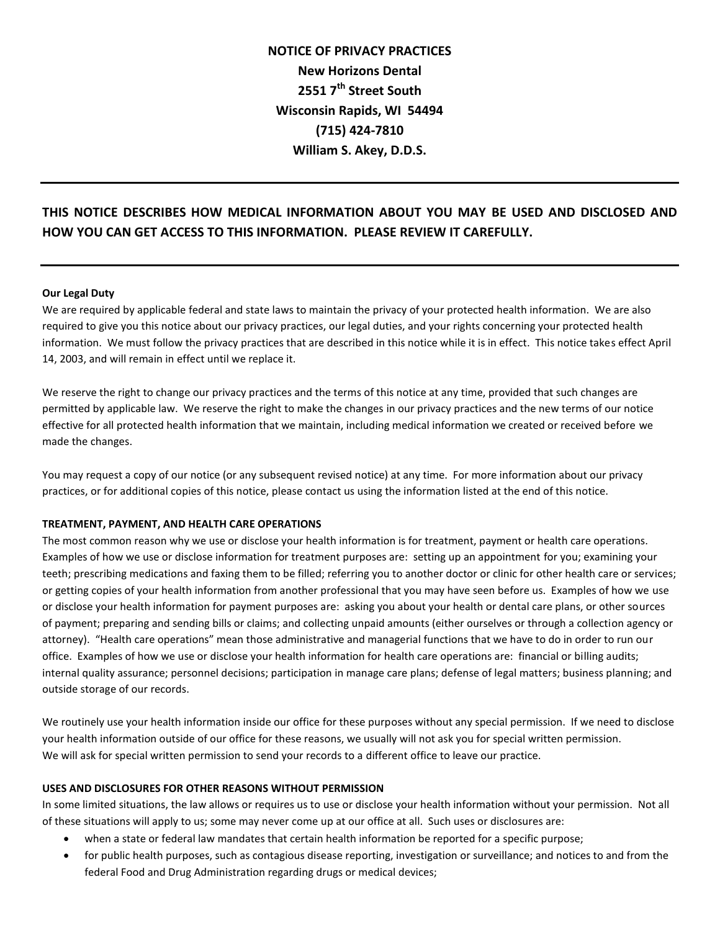# **NOTICE OF PRIVACY PRACTICES New Horizons Dental 2551 7th Street South Wisconsin Rapids, WI 54494 (715) 424-7810 William S. Akey, D.D.S.**

## **THIS NOTICE DESCRIBES HOW MEDICAL INFORMATION ABOUT YOU MAY BE USED AND DISCLOSED AND HOW YOU CAN GET ACCESS TO THIS INFORMATION. PLEASE REVIEW IT CAREFULLY.**

#### **Our Legal Duty**

We are required by applicable federal and state laws to maintain the privacy of your protected health information. We are also required to give you this notice about our privacy practices, our legal duties, and your rights concerning your protected health information. We must follow the privacy practices that are described in this notice while it is in effect. This notice takes effect April 14, 2003, and will remain in effect until we replace it.

We reserve the right to change our privacy practices and the terms of this notice at any time, provided that such changes are permitted by applicable law. We reserve the right to make the changes in our privacy practices and the new terms of our notice effective for all protected health information that we maintain, including medical information we created or received before we made the changes.

You may request a copy of our notice (or any subsequent revised notice) at any time. For more information about our privacy practices, or for additional copies of this notice, please contact us using the information listed at the end of this notice.

#### **TREATMENT, PAYMENT, AND HEALTH CARE OPERATIONS**

The most common reason why we use or disclose your health information is for treatment, payment or health care operations. Examples of how we use or disclose information for treatment purposes are: setting up an appointment for you; examining your teeth; prescribing medications and faxing them to be filled; referring you to another doctor or clinic for other health care or services; or getting copies of your health information from another professional that you may have seen before us. Examples of how we use or disclose your health information for payment purposes are: asking you about your health or dental care plans, or other sources of payment; preparing and sending bills or claims; and collecting unpaid amounts (either ourselves or through a collection agency or attorney). "Health care operations" mean those administrative and managerial functions that we have to do in order to run our office. Examples of how we use or disclose your health information for health care operations are: financial or billing audits; internal quality assurance; personnel decisions; participation in manage care plans; defense of legal matters; business planning; and outside storage of our records.

We routinely use your health information inside our office for these purposes without any special permission. If we need to disclose your health information outside of our office for these reasons, we usually will not ask you for special written permission. We will ask for special written permission to send your records to a different office to leave our practice.

## **USES AND DISCLOSURES FOR OTHER REASONS WITHOUT PERMISSION**

In some limited situations, the law allows or requires us to use or disclose your health information without your permission. Not all of these situations will apply to us; some may never come up at our office at all. Such uses or disclosures are:

- when a state or federal law mandates that certain health information be reported for a specific purpose;
- for public health purposes, such as contagious disease reporting, investigation or surveillance; and notices to and from the federal Food and Drug Administration regarding drugs or medical devices;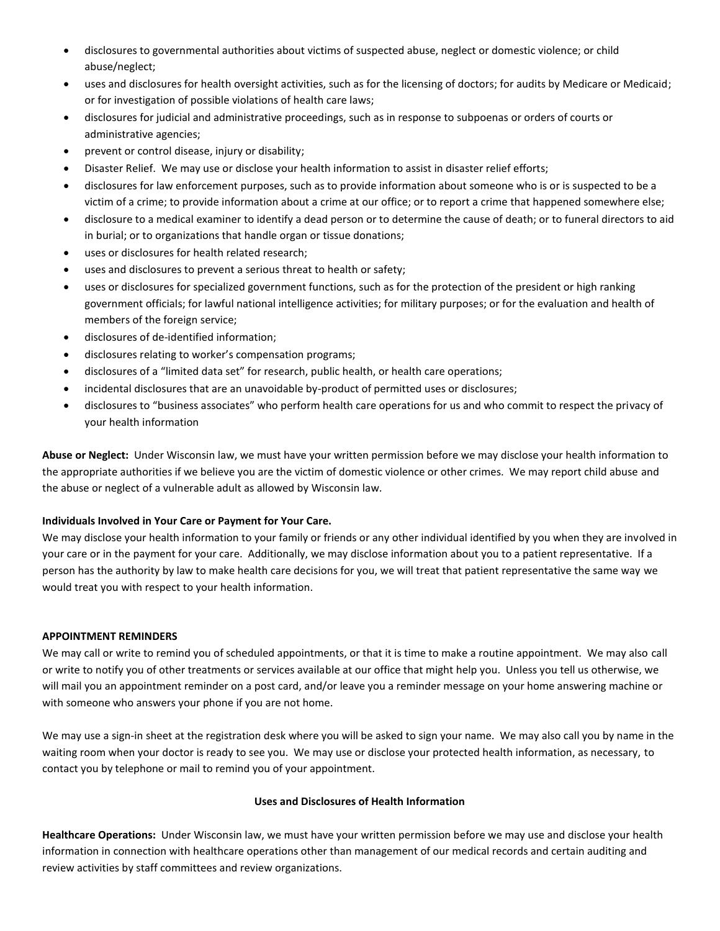- disclosures to governmental authorities about victims of suspected abuse, neglect or domestic violence; or child abuse/neglect;
- uses and disclosures for health oversight activities, such as for the licensing of doctors; for audits by Medicare or Medicaid; or for investigation of possible violations of health care laws;
- disclosures for judicial and administrative proceedings, such as in response to subpoenas or orders of courts or administrative agencies;
- prevent or control disease, injury or disability;
- Disaster Relief. We may use or disclose your health information to assist in disaster relief efforts;
- disclosures for law enforcement purposes, such as to provide information about someone who is or is suspected to be a victim of a crime; to provide information about a crime at our office; or to report a crime that happened somewhere else;
- disclosure to a medical examiner to identify a dead person or to determine the cause of death; or to funeral directors to aid in burial; or to organizations that handle organ or tissue donations;
- uses or disclosures for health related research;
- uses and disclosures to prevent a serious threat to health or safety;
- uses or disclosures for specialized government functions, such as for the protection of the president or high ranking government officials; for lawful national intelligence activities; for military purposes; or for the evaluation and health of members of the foreign service;
- disclosures of de-identified information;
- disclosures relating to worker's compensation programs;
- disclosures of a "limited data set" for research, public health, or health care operations;
- incidental disclosures that are an unavoidable by-product of permitted uses or disclosures;
- disclosures to "business associates" who perform health care operations for us and who commit to respect the privacy of your health information

**Abuse or Neglect:** Under Wisconsin law, we must have your written permission before we may disclose your health information to the appropriate authorities if we believe you are the victim of domestic violence or other crimes. We may report child abuse and the abuse or neglect of a vulnerable adult as allowed by Wisconsin law.

## **Individuals Involved in Your Care or Payment for Your Care.**

We may disclose your health information to your family or friends or any other individual identified by you when they are involved in your care or in the payment for your care. Additionally, we may disclose information about you to a patient representative. If a person has the authority by law to make health care decisions for you, we will treat that patient representative the same way we would treat you with respect to your health information.

## **APPOINTMENT REMINDERS**

We may call or write to remind you of scheduled appointments, or that it is time to make a routine appointment. We may also call or write to notify you of other treatments or services available at our office that might help you. Unless you tell us otherwise, we will mail you an appointment reminder on a post card, and/or leave you a reminder message on your home answering machine or with someone who answers your phone if you are not home.

We may use a sign-in sheet at the registration desk where you will be asked to sign your name. We may also call you by name in the waiting room when your doctor is ready to see you. We may use or disclose your protected health information, as necessary, to contact you by telephone or mail to remind you of your appointment.

#### **Uses and Disclosures of Health Information**

**Healthcare Operations:** Under Wisconsin law, we must have your written permission before we may use and disclose your health information in connection with healthcare operations other than management of our medical records and certain auditing and review activities by staff committees and review organizations.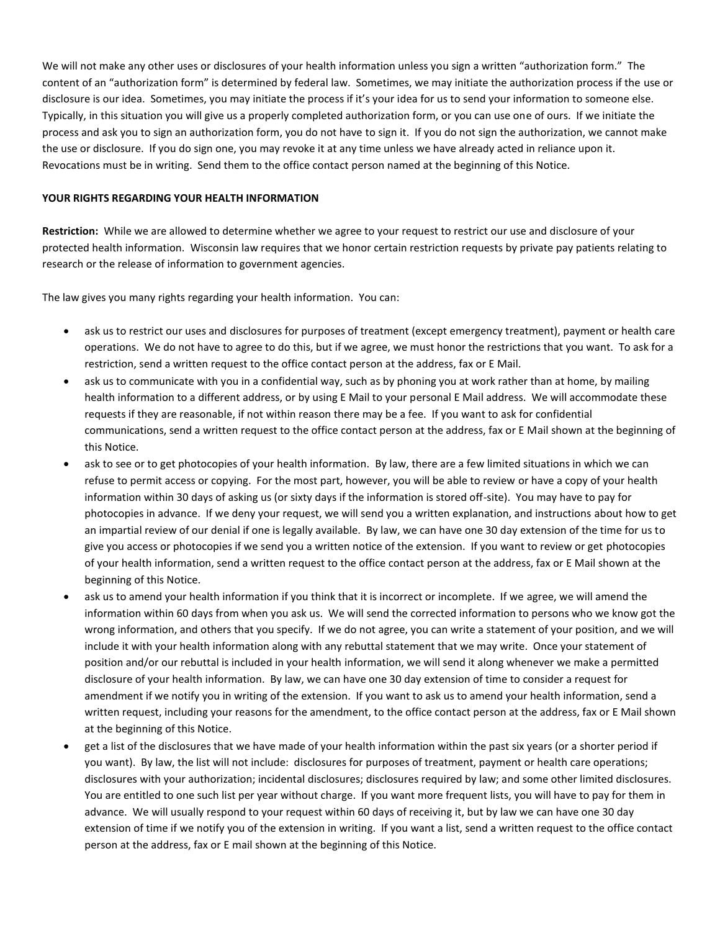We will not make any other uses or disclosures of your health information unless you sign a written "authorization form." The content of an "authorization form" is determined by federal law. Sometimes, we may initiate the authorization process if the use or disclosure is our idea. Sometimes, you may initiate the process if it's your idea for us to send your information to someone else. Typically, in this situation you will give us a properly completed authorization form, or you can use one of ours. If we initiate the process and ask you to sign an authorization form, you do not have to sign it. If you do not sign the authorization, we cannot make the use or disclosure. If you do sign one, you may revoke it at any time unless we have already acted in reliance upon it. Revocations must be in writing. Send them to the office contact person named at the beginning of this Notice.

#### **YOUR RIGHTS REGARDING YOUR HEALTH INFORMATION**

**Restriction:** While we are allowed to determine whether we agree to your request to restrict our use and disclosure of your protected health information. Wisconsin law requires that we honor certain restriction requests by private pay patients relating to research or the release of information to government agencies.

The law gives you many rights regarding your health information. You can:

- ask us to restrict our uses and disclosures for purposes of treatment (except emergency treatment), payment or health care operations. We do not have to agree to do this, but if we agree, we must honor the restrictions that you want. To ask for a restriction, send a written request to the office contact person at the address, fax or E Mail.
- ask us to communicate with you in a confidential way, such as by phoning you at work rather than at home, by mailing health information to a different address, or by using E Mail to your personal E Mail address. We will accommodate these requests if they are reasonable, if not within reason there may be a fee. If you want to ask for confidential communications, send a written request to the office contact person at the address, fax or E Mail shown at the beginning of this Notice.
- ask to see or to get photocopies of your health information. By law, there are a few limited situations in which we can refuse to permit access or copying. For the most part, however, you will be able to review or have a copy of your health information within 30 days of asking us (or sixty days if the information is stored off-site). You may have to pay for photocopies in advance. If we deny your request, we will send you a written explanation, and instructions about how to get an impartial review of our denial if one is legally available. By law, we can have one 30 day extension of the time for us to give you access or photocopies if we send you a written notice of the extension. If you want to review or get photocopies of your health information, send a written request to the office contact person at the address, fax or E Mail shown at the beginning of this Notice.
- ask us to amend your health information if you think that it is incorrect or incomplete. If we agree, we will amend the information within 60 days from when you ask us. We will send the corrected information to persons who we know got the wrong information, and others that you specify. If we do not agree, you can write a statement of your position, and we will include it with your health information along with any rebuttal statement that we may write. Once your statement of position and/or our rebuttal is included in your health information, we will send it along whenever we make a permitted disclosure of your health information. By law, we can have one 30 day extension of time to consider a request for amendment if we notify you in writing of the extension. If you want to ask us to amend your health information, send a written request, including your reasons for the amendment, to the office contact person at the address, fax or E Mail shown at the beginning of this Notice.
- get a list of the disclosures that we have made of your health information within the past six years (or a shorter period if you want). By law, the list will not include: disclosures for purposes of treatment, payment or health care operations; disclosures with your authorization; incidental disclosures; disclosures required by law; and some other limited disclosures. You are entitled to one such list per year without charge. If you want more frequent lists, you will have to pay for them in advance. We will usually respond to your request within 60 days of receiving it, but by law we can have one 30 day extension of time if we notify you of the extension in writing. If you want a list, send a written request to the office contact person at the address, fax or E mail shown at the beginning of this Notice.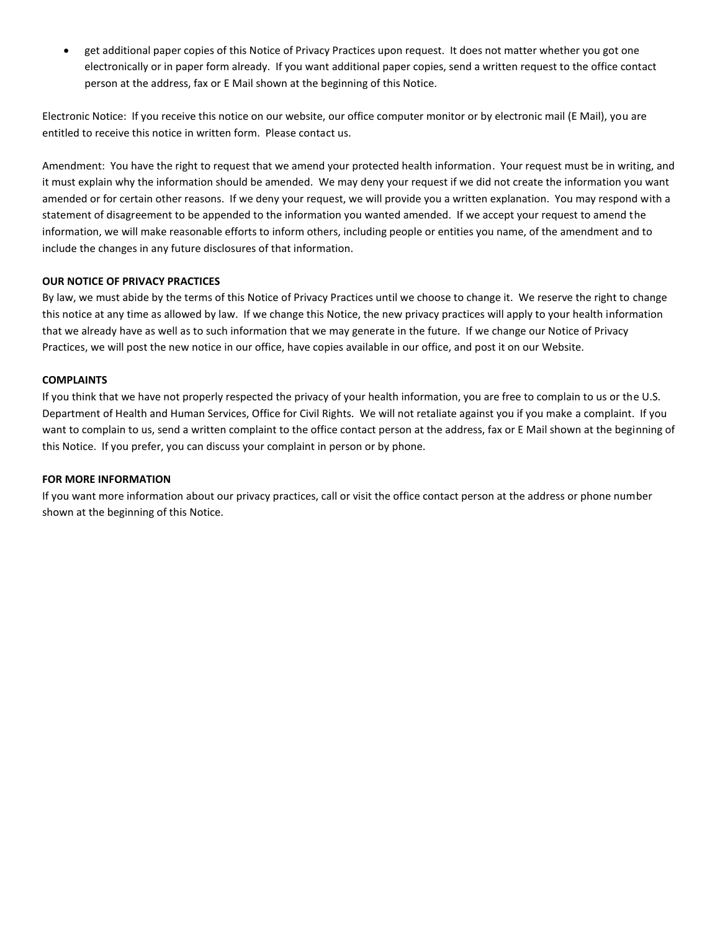get additional paper copies of this Notice of Privacy Practices upon request. It does not matter whether you got one electronically or in paper form already. If you want additional paper copies, send a written request to the office contact person at the address, fax or E Mail shown at the beginning of this Notice.

Electronic Notice: If you receive this notice on our website, our office computer monitor or by electronic mail (E Mail), you are entitled to receive this notice in written form. Please contact us.

Amendment: You have the right to request that we amend your protected health information. Your request must be in writing, and it must explain why the information should be amended. We may deny your request if we did not create the information you want amended or for certain other reasons. If we deny your request, we will provide you a written explanation. You may respond with a statement of disagreement to be appended to the information you wanted amended. If we accept your request to amend the information, we will make reasonable efforts to inform others, including people or entities you name, of the amendment and to include the changes in any future disclosures of that information.

## **OUR NOTICE OF PRIVACY PRACTICES**

By law, we must abide by the terms of this Notice of Privacy Practices until we choose to change it. We reserve the right to change this notice at any time as allowed by law. If we change this Notice, the new privacy practices will apply to your health information that we already have as well as to such information that we may generate in the future. If we change our Notice of Privacy Practices, we will post the new notice in our office, have copies available in our office, and post it on our Website.

#### **COMPLAINTS**

If you think that we have not properly respected the privacy of your health information, you are free to complain to us or the U.S. Department of Health and Human Services, Office for Civil Rights. We will not retaliate against you if you make a complaint. If you want to complain to us, send a written complaint to the office contact person at the address, fax or E Mail shown at the beginning of this Notice. If you prefer, you can discuss your complaint in person or by phone.

#### **FOR MORE INFORMATION**

If you want more information about our privacy practices, call or visit the office contact person at the address or phone number shown at the beginning of this Notice.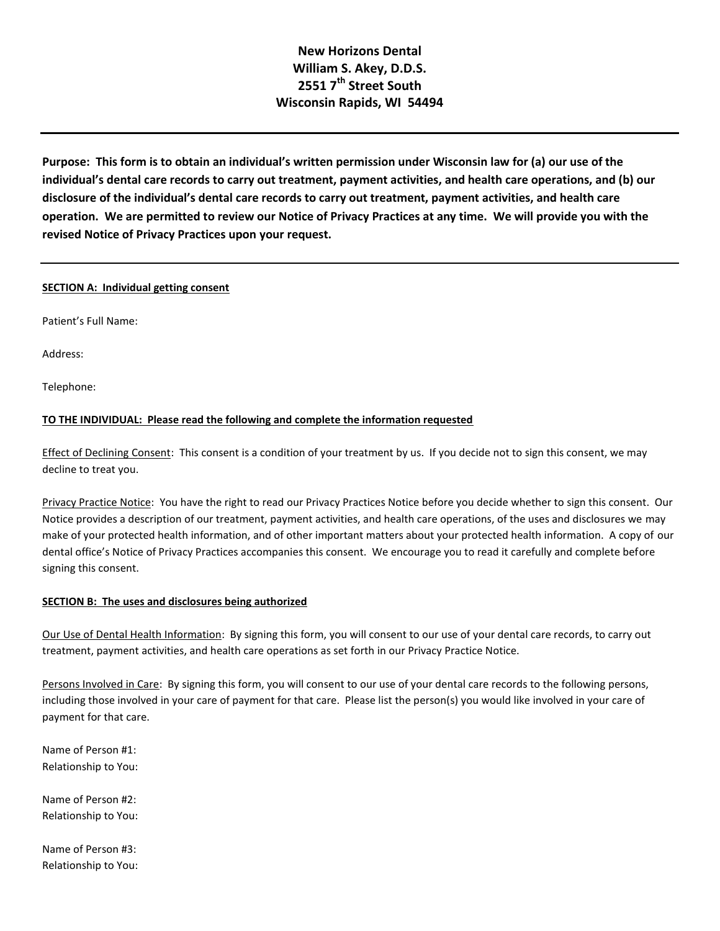## **New Horizons Dental William S. Akey, D.D.S. 2551 7th Street South Wisconsin Rapids, WI 54494**

**Purpose: This form is to obtain an individual's written permission under Wisconsin law for (a) our use of the individual's dental care records to carry out treatment, payment activities, and health care operations, and (b) our disclosure of the individual's dental care records to carry out treatment, payment activities, and health care operation. We are permitted to review our Notice of Privacy Practices at any time. We will provide you with the revised Notice of Privacy Practices upon your request.**

## **SECTION A: Individual getting consent**

Patient's Full Name:

Address:

Telephone:

## **TO THE INDIVIDUAL: Please read the following and complete the information requested**

Effect of Declining Consent: This consent is a condition of your treatment by us. If you decide not to sign this consent, we may decline to treat you.

Privacy Practice Notice: You have the right to read our Privacy Practices Notice before you decide whether to sign this consent. Our Notice provides a description of our treatment, payment activities, and health care operations, of the uses and disclosures we may make of your protected health information, and of other important matters about your protected health information. A copy of our dental office's Notice of Privacy Practices accompanies this consent. We encourage you to read it carefully and complete before signing this consent.

## **SECTION B: The uses and disclosures being authorized**

Our Use of Dental Health Information: By signing this form, you will consent to our use of your dental care records, to carry out treatment, payment activities, and health care operations as set forth in our Privacy Practice Notice.

Persons Involved in Care: By signing this form, you will consent to our use of your dental care records to the following persons, including those involved in your care of payment for that care. Please list the person(s) you would like involved in your care of payment for that care.

Name of Person #1: Relationship to You:

Name of Person #2: Relationship to You:

Name of Person #3: Relationship to You: